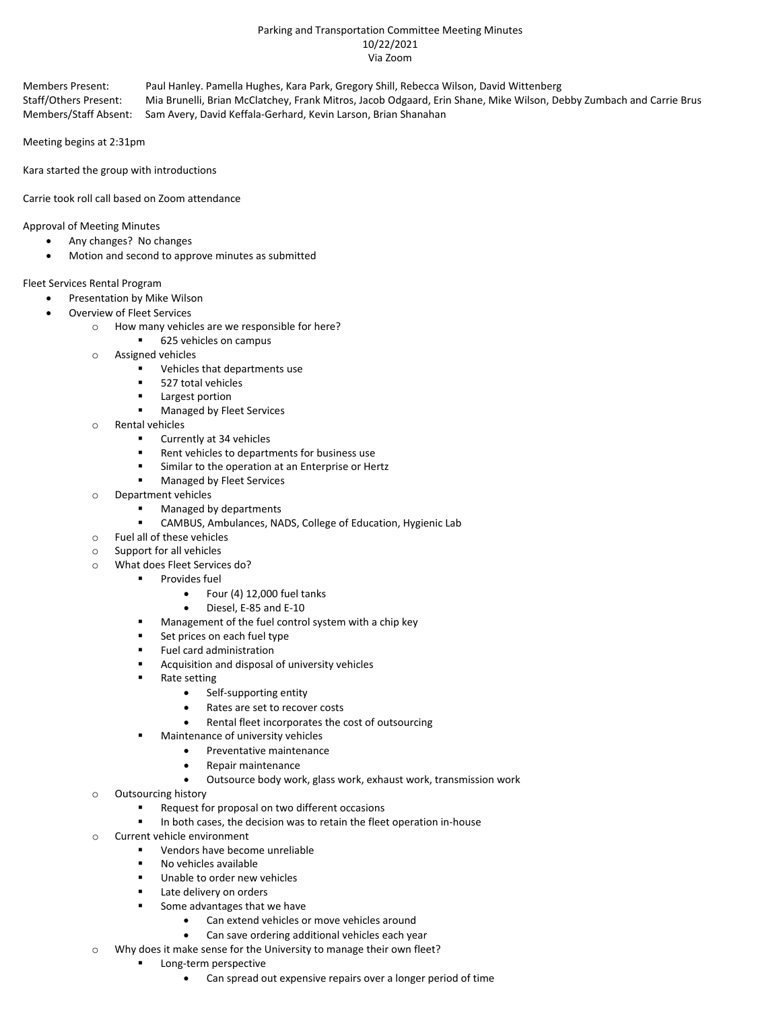### Parking and Transportation Committee Meeting Minutes 10/22/2021 Via Zoom

Members Present: Paul Hanley. Pamella Hughes, Kara Park, Gregory Shill, Rebecca Wilson, David Wittenberg Staff/Others Present: Mia Brunelli, Brian McClatchey, Frank Mitros, Jacob Odgaard, Erin Shane, Mike Wilson, Debby Zumbach and Carrie Brus Members/Staff Absent: Sam Avery, David Keffala-Gerhard, Kevin Larson, Brian Shanahan

Meeting begins at 2:31pm

Kara started the group with introductions

Carrie took roll call based on Zoom attendance

Approval of Meeting Minutes

- Any changes? No changes
- Motion and second to approve minutes as submitted

Fleet Services Rental Program

- Presentation by Mike Wilson
- Overview of Fleet Services
	- o How many vehicles are we responsible for here?
		- 625 vehicles on campus
	- o Assigned vehicles
		- **•** Vehicles that departments use
		- 527 total vehicles
		- **Largest portion**
		- Managed by Fleet Services
	- o Rental vehicles
		- Currently at 34 vehicles
		- Rent vehicles to departments for business use
		- **Similar to the operation at an Enterprise or Hertz**
		- Managed by Fleet Services
	- o Department vehicles
		- Managed by departments
		- CAMBUS, Ambulances, NADS, College of Education, Hygienic Lab
	- o Fuel all of these vehicles
	- o Support for all vehicles
	- o What does Fleet Services do?
		- Provides fuel
			- Four (4) 12,000 fuel tanks
			- Diesel, E-85 and E-10
			- **Management of the fuel control system with a chip key**
			- Set prices on each fuel type
			- Fuel card administration
			- Acquisition and disposal of university vehicles
			- Rate setting
				- Self-supporting entity
				- Rates are set to recover costs
				- Rental fleet incorporates the cost of outsourcing
			- **■** Maintenance of university vehicles
				- Preventative maintenance
					- Repair maintenance
					- Outsource body work, glass work, exhaust work, transmission work
	- o Outsourcing history
		- Request for proposal on two different occasions
		- In both cases, the decision was to retain the fleet operation in-house
	- o Current vehicle environment
		- Vendors have become unreliable
		- No vehicles available
		- **Unable to order new vehicles**
		- Late delivery on orders
		- Some advantages that we have
			- Can extend vehicles or move vehicles around
				- Can save ordering additional vehicles each year
	- o Why does it make sense for the University to manage their own fleet?
		- Long-term perspective
			- Can spread out expensive repairs over a longer period of time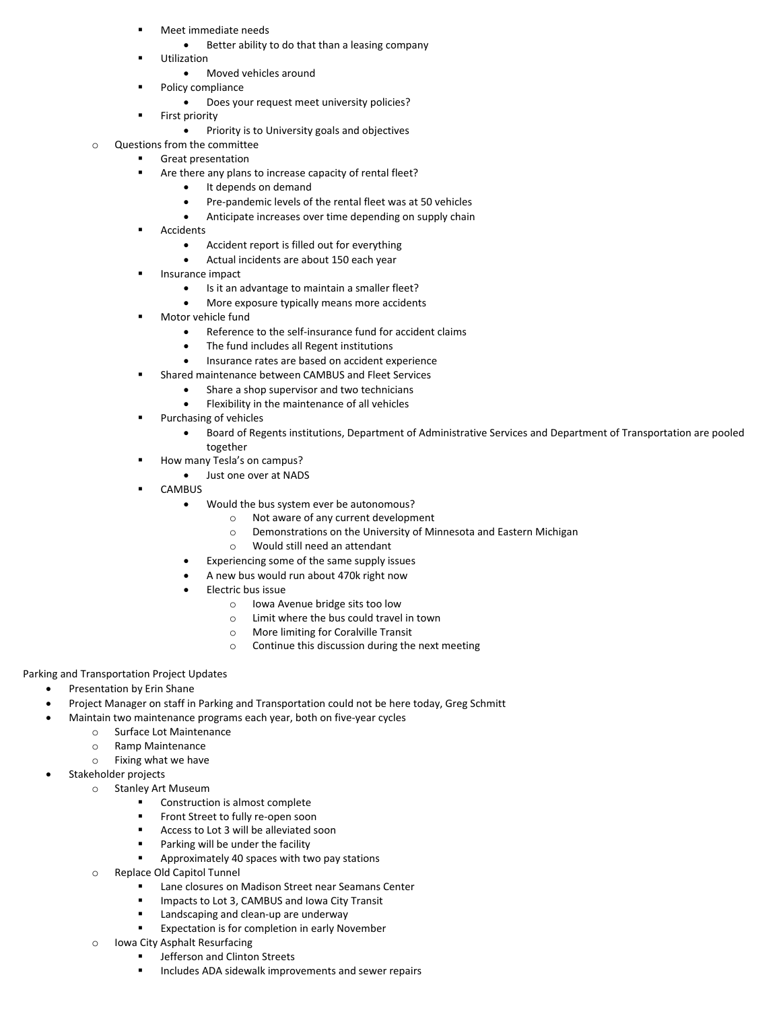- Meet immediate needs
	- Better ability to do that than a leasing company
	- Utilization
		- Moved vehicles around
- **Policy compliance** 
	- Does your request meet university policies?
- **First priority** 
	- Priority is to University goals and objectives
- Questions from the committee
	- Great presentation
		- Are there any plans to increase capacity of rental fleet?
			- It depends on demand
			- Pre-pandemic levels of the rental fleet was at 50 vehicles
			- Anticipate increases over time depending on supply chain
		- Accidents
			- Accident report is filled out for everything
			- Actual incidents are about 150 each year
		- Insurance impact
			- Is it an advantage to maintain a smaller fleet?
			- More exposure typically means more accidents
		- Motor vehicle fund
			- Reference to the self-insurance fund for accident claims
			- The fund includes all Regent institutions
			- Insurance rates are based on accident experience
			- Shared maintenance between CAMBUS and Fleet Services
				- Share a shop supervisor and two technicians
				- Flexibility in the maintenance of all vehicles
		- Purchasing of vehicles
			- Board of Regents institutions, Department of Administrative Services and Department of Transportation are pooled together
			- How many Tesla's on campus?
				- Just one over at NADS
		- CAMBUS
			- Would the bus system ever be autonomous?
				- o Not aware of any current development
				- o Demonstrations on the University of Minnesota and Eastern Michigan
				- o Would still need an attendant
			- Experiencing some of the same supply issues
			- A new bus would run about 470k right now
			- Electric bus issue
				- o Iowa Avenue bridge sits too low
				- o Limit where the bus could travel in town
				- o More limiting for Coralville Transit
				- o Continue this discussion during the next meeting

#### Parking and Transportation Project Updates

- Presentation by Erin Shane
- Project Manager on staff in Parking and Transportation could not be here today, Greg Schmitt
- Maintain two maintenance programs each year, both on five-year cycles
	- o Surface Lot Maintenance
	- o Ramp Maintenance
	- o Fixing what we have
- Stakeholder projects
	- o Stanley Art Museum
		- Construction is almost complete
		- **Front Street to fully re-open soon**
		- Access to Lot 3 will be alleviated soon
		- **Parking will be under the facility**
		- Approximately 40 spaces with two pay stations
		- o Replace Old Capitol Tunnel
			- Lane closures on Madison Street near Seamans Center
			- Impacts to Lot 3, CAMBUS and Iowa City Transit
			- **EXEC** Landscaping and clean-up are underway
			- Expectation is for completion in early November
		- o Iowa City Asphalt Resurfacing
			- Jefferson and Clinton Streets
			- **Includes ADA sidewalk improvements and sewer repairs**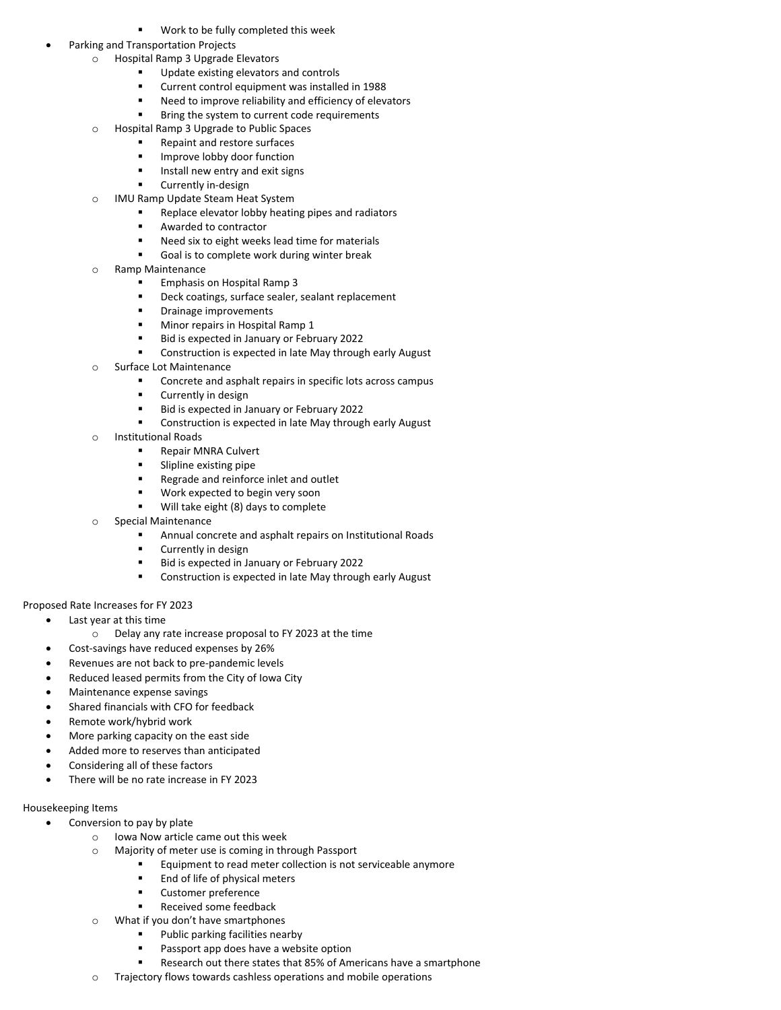Work to be fully completed this week

### • Parking and Transportation Projects

- o Hospital Ramp 3 Upgrade Elevators
	- Update existing elevators and controls
	- Current control equipment was installed in 1988
	- Need to improve reliability and efficiency of elevators
	- Bring the system to current code requirements
- o Hospital Ramp 3 Upgrade to Public Spaces
	- Repaint and restore surfaces
	- Improve lobby door function
	- **IF** Install new entry and exit signs
	- Currently in-design
- o IMU Ramp Update Steam Heat System
	- Replace elevator lobby heating pipes and radiators
	- Awarded to contractor
	- Need six to eight weeks lead time for materials
	- Goal is to complete work during winter break
- o Ramp Maintenance
	- Emphasis on Hospital Ramp 3
	- Deck coatings, surface sealer, sealant replacement
	- **•** Drainage improvements
	- Minor repairs in Hospital Ramp 1
	- Bid is expected in January or February 2022
	- Construction is expected in late May through early August
- o Surface Lot Maintenance
	- Concrete and asphalt repairs in specific lots across campus
	- Currently in design
	- Bid is expected in January or February 2022
	- Construction is expected in late May through early August
- o Institutional Roads
	- Repair MNRA Culvert
	- Slipline existing pipe
	- **Regrade and reinforce inlet and outlet**
	- Work expected to begin very soon
	- Will take eight (8) days to complete
	- Special Maintenance
		- Annual concrete and asphalt repairs on Institutional Roads
		- Currently in design
		- Bid is expected in January or February 2022
		- Construction is expected in late May through early August

# Proposed Rate Increases for FY 2023

- Last year at this time
	- o Delay any rate increase proposal to FY 2023 at the time
- Cost-savings have reduced expenses by 26%
- Revenues are not back to pre-pandemic levels
- Reduced leased permits from the City of Iowa City
- Maintenance expense savings
- Shared financials with CFO for feedback
- Remote work/hybrid work
- More parking capacity on the east side
- Added more to reserves than anticipated
- Considering all of these factors
- There will be no rate increase in FY 2023

# Housekeeping Items

- Conversion to pay by plate
	- o Iowa Now article came out this week
		- o Majority of meter use is coming in through Passport
			- Equipment to read meter collection is not serviceable anymore
				- End of life of physical meters
				- Customer preference
			- Received some feedback
		- o What if you don't have smartphones
			- Public parking facilities nearby
			- Passport app does have a website option
			- Research out there states that 85% of Americans have a smartphone
		- o Trajectory flows towards cashless operations and mobile operations